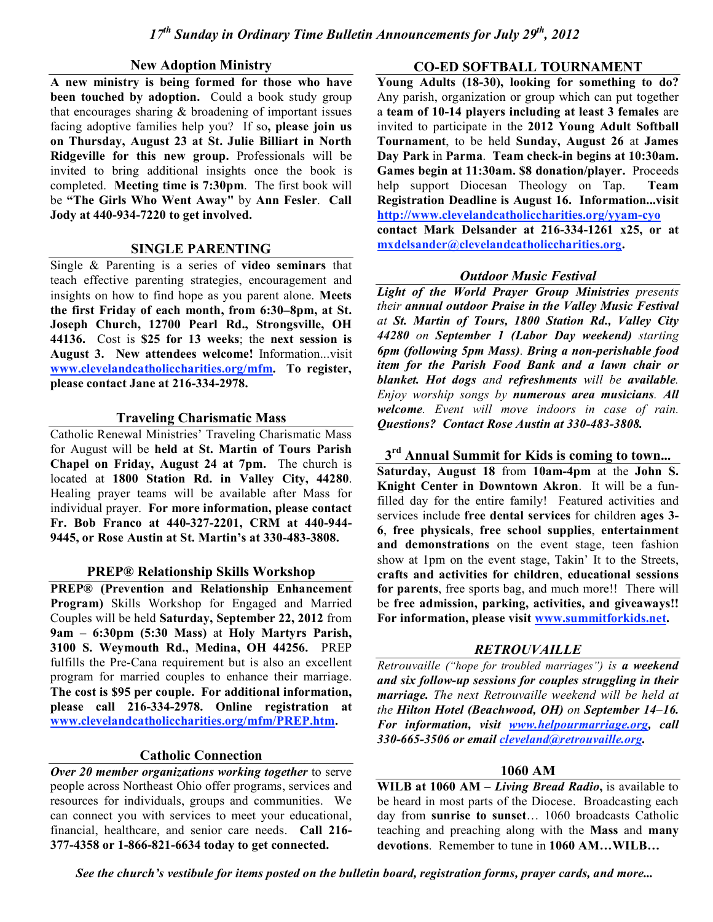#### **New Adoption Ministry**

**A new ministry is being formed for those who have been touched by adoption.** Could a book study group that encourages sharing  $&$  broadening of important issues facing adoptive families help you? If so**, please join us on Thursday, August 23 at St. Julie Billiart in North Ridgeville for this new group.** Professionals will be invited to bring additional insights once the book is completed. **Meeting time is 7:30pm**. The first book will be **"The Girls Who Went Away"** by **Ann Fesler**. **Call Jody at 440-934-7220 to get involved.**

### **SINGLE PARENTING**

Single & Parenting is a series of **video seminars** that teach effective parenting strategies, encouragement and insights on how to find hope as you parent alone. **Meets the first Friday of each month, from 6:30–8pm, at St. Joseph Church, 12700 Pearl Rd., Strongsville, OH 44136.** Cost is **\$25 for 13 weeks**; the **next session is August 3. New attendees welcome!** Information...visit **www.clevelandcatholiccharities.org/mfm. To register, please contact Jane at 216-334-2978.**

#### **Traveling Charismatic Mass**

Catholic Renewal Ministries' Traveling Charismatic Mass for August will be **held at St. Martin of Tours Parish Chapel on Friday, August 24 at 7pm.** The church is located at **1800 Station Rd. in Valley City, 44280**. Healing prayer teams will be available after Mass for individual prayer. **For more information, please contact Fr. Bob Franco at 440-327-2201, CRM at 440-944- 9445, or Rose Austin at St. Martin's at 330-483-3808.**

#### **PREP® Relationship Skills Workshop**

**PREP® (Prevention and Relationship Enhancement Program)** Skills Workshop for Engaged and Married Couples will be held **Saturday, September 22, 2012** from **9am – 6:30pm (5:30 Mass)** at **Holy Martyrs Parish, 3100 S. Weymouth Rd., Medina, OH 44256.** PREP fulfills the Pre-Cana requirement but is also an excellent program for married couples to enhance their marriage. **The cost is \$95 per couple. For additional information, please call 216-334-2978. Online registration at www.clevelandcatholiccharities.org/mfm/PREP.htm.**

### **Catholic Connection**

*Over 20 member organizations working together* to serve people across Northeast Ohio offer programs, services and resources for individuals, groups and communities. We can connect you with services to meet your educational, financial, healthcare, and senior care needs. **Call 216- 377-4358 or 1-866-821-6634 today to get connected.**

### **CO-ED SOFTBALL TOURNAMENT**

**Young Adults (18-30), looking for something to do?** Any parish, organization or group which can put together a **team of 10-14 players including at least 3 females** are invited to participate in the **2012 Young Adult Softball Tournament**, to be held **Sunday, August 26** at **James Day Park** in **Parma**. **Team check-in begins at 10:30am. Games begin at 11:30am. \$8 donation/player.** Proceeds help support Diocesan Theology on Tap. **Team Registration Deadline is August 16. Information...visit http://www.clevelandcatholiccharities.org/yyam-cyo contact Mark Delsander at 216-334-1261 x25, or at mxdelsander@clevelandcatholiccharities.org.**

### *Outdoor Music Festival*

*Light of the World Prayer Group Ministries presents their annual outdoor Praise in the Valley Music Festival at St. Martin of Tours, 1800 Station Rd., Valley City 44280 on September 1 (Labor Day weekend) starting 6pm (following 5pm Mass). Bring a non-perishable food item for the Parish Food Bank and a lawn chair or blanket. Hot dogs and refreshments will be available. Enjoy worship songs by numerous area musicians. All welcome. Event will move indoors in case of rain. Questions? Contact Rose Austin at 330-483-3808.*

**3rd Annual Summit for Kids is coming to town...**

**Saturday, August 18** from **10am-4pm** at the **John S. Knight Center in Downtown Akron**. It will be a funfilled day for the entire family! Featured activities and services include **free dental services** for children **ages 3- 6**, **free physicals**, **free school supplies**, **entertainment and demonstrations** on the event stage, teen fashion show at 1pm on the event stage, Takin' It to the Streets, **crafts and activities for children**, **educational sessions for parents**, free sports bag, and much more!! There will be **free admission, parking, activities, and giveaways!! For information, please visit www.summitforkids.net.**

### *RETROUVAILLE*

*Retrouvaille ("hope for troubled marriages") is a weekend and six follow-up sessions for couples struggling in their marriage. The next Retrouvaille weekend will be held at the Hilton Hotel (Beachwood, OH) on September 14–16. For information, visit www.helpourmarriage.org, call 330-665-3506 or email cleveland@retrouvaille.org.*

### **1060 AM**

**WILB at 1060 AM –** *Living Bread Radio***,** is available to be heard in most parts of the Diocese. Broadcasting each day from **sunrise to sunset**… 1060 broadcasts Catholic teaching and preaching along with the **Mass** and **many devotions**. Remember to tune in **1060 AM…WILB…**

*See the church's vestibule for items posted on the bulletin board, registration forms, prayer cards, and more...*